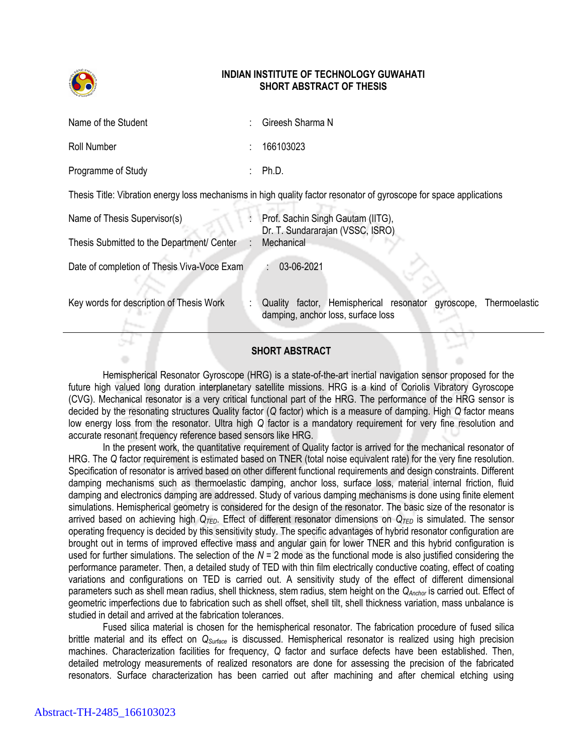

## **INDIAN INSTITUTE OF TECHNOLOGY GUWAHATI SHORT ABSTRACT OF THESIS**

| Name of the Student | Gireesh Sharma N                                                                                                    |
|---------------------|---------------------------------------------------------------------------------------------------------------------|
| Roll Number         | 166103023                                                                                                           |
| Programme of Study  | $\therefore$ Ph.D.                                                                                                  |
|                     | Thesis Title: Vibration energy loss mechanisms in high quality factor resonator of gyroscope for space applications |

| Name of Thesis Supervisor(s)<br>Thesis Submitted to the Department/ Center | Prof. Sachin Singh Gautam (IITG),<br>Dr. T. Sundararajan (VSSC, ISRO)<br>Mechanical |                                 |  |            |               |  |  |  |
|----------------------------------------------------------------------------|-------------------------------------------------------------------------------------|---------------------------------|--|------------|---------------|--|--|--|
| Date of completion of Thesis Viva-Voce Exam                                | 03-06-2021                                                                          |                                 |  |            |               |  |  |  |
| Key words for description of Thesis Work                                   | Quality<br>damping, anchor loss, surface loss                                       | factor, Hemispherical resonator |  | gyroscope, | Thermoelastic |  |  |  |

## **SHORT ABSTRACT**

Hemispherical Resonator Gyroscope (HRG) is a state-of-the-art inertial navigation sensor proposed for the future high valued long duration interplanetary satellite missions. HRG is a kind of Coriolis Vibratory Gyroscope (CVG). Mechanical resonator is a very critical functional part of the HRG. The performance of the HRG sensor is decided by the resonating structures Quality factor (*Q* factor) which is a measure of damping. High *Q* factor means low energy loss from the resonator. Ultra high *Q* factor is a mandatory requirement for very fine resolution and accurate resonant frequency reference based sensors like HRG.

In the present work, the quantitative requirement of Quality factor is arrived for the mechanical resonator of HRG. The *Q* factor requirement is estimated based on TNER (total noise equivalent rate) for the very fine resolution. Specification of resonator is arrived based on other different functional requirements and design constraints. Different damping mechanisms such as thermoelastic damping, anchor loss, surface loss, material internal friction, fluid damping and electronics damping are addressed. Study of various damping mechanisms is done using finite element simulations. Hemispherical geometry is considered for the design of the resonator. The basic size of the resonator is arrived based on achieving high  $Q_{\text{TED}}$ . Effect of different resonator dimensions on  $Q_{\text{TED}}$  is simulated. The sensor operating frequency is decided by this sensitivity study. The specific advantages of hybrid resonator configuration are brought out in terms of improved effective mass and angular gain for lower TNER and this hybrid configuration is used for further simulations. The selection of the *N* = 2 mode as the functional mode is also justified considering the performance parameter. Then, a detailed study of TED with thin film electrically conductive coating, effect of coating variations and configurations on TED is carried out. A sensitivity study of the effect of different dimensional parameters such as shell mean radius, shell thickness, stem radius, stem height on the *QAnchor* is carried out. Effect of geometric imperfections due to fabrication such as shell offset, shell tilt, shell thickness variation, mass unbalance is studied in detail and arrived at the fabrication tolerances.

Fused silica material is chosen for the hemispherical resonator. The fabrication procedure of fused silica brittle material and its effect on *QSurface* is discussed. Hemispherical resonator is realized using high precision machines. Characterization facilities for frequency, *Q* factor and surface defects have been established. Then, detailed metrology measurements of realized resonators are done for assessing the precision of the fabricated resonators. Surface characterization has been carried out after machining and after chemical etching using